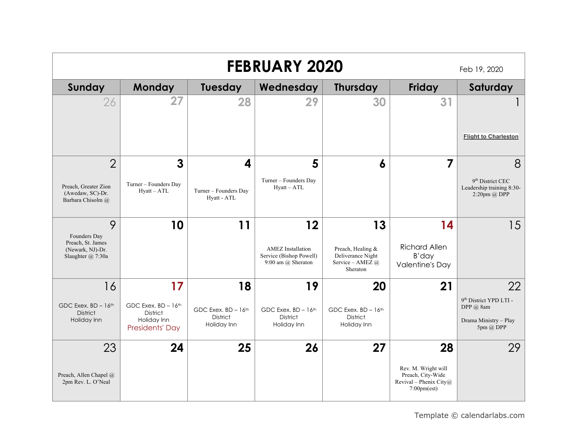|                                                                                     | <b>FEBRUARY 2020</b><br>Feb 19, 2020       |                                      |                                                                                 |                                                                              |                                                                                                       |                                                                           |  |  |  |
|-------------------------------------------------------------------------------------|--------------------------------------------|--------------------------------------|---------------------------------------------------------------------------------|------------------------------------------------------------------------------|-------------------------------------------------------------------------------------------------------|---------------------------------------------------------------------------|--|--|--|
| Sunday                                                                              | Monday                                     | <b>Tuesday</b>                       | Wednesday                                                                       | <b>Thursday</b>                                                              | Friday                                                                                                | Saturday                                                                  |  |  |  |
| 26                                                                                  | 27                                         | 28                                   | 29                                                                              | 30                                                                           | 31                                                                                                    |                                                                           |  |  |  |
|                                                                                     |                                            |                                      |                                                                                 |                                                                              |                                                                                                       | <b>Flight to Charleston</b>                                               |  |  |  |
| $\overline{2}$                                                                      | 3                                          | 4                                    | 5                                                                               | 6                                                                            | 7                                                                                                     | 8                                                                         |  |  |  |
| Preach, Greater Zion<br>(Awedaw, SC)-Dr.<br>Barbara Chisolm @                       | Turner - Founders Day<br>$Hyatt - ATL$     | Turner - Founders Day<br>Hyatt - ATL | Turner - Founders Day<br>$Hyatt - ATL$                                          |                                                                              |                                                                                                       | 9 <sup>th</sup> District CEC<br>Leadership training 8:30-<br>2:20pm @ DPP |  |  |  |
| 9<br>Founders Day<br>Preach, St. James<br>(Newark, NJ)-Dr.<br>Slaughter $(a)$ 7:30a | 10                                         | 11                                   | 12<br><b>AMEZ</b> Installation<br>Service (Bishop Powell)<br>9:00 am @ Sheraton | 13<br>Preach, Healing &<br>Deliverance Night<br>Service - AMEZ @<br>Sheraton | 14<br><b>Richard Allen</b><br>B'day<br><b>Valentine's Day</b>                                         | 15                                                                        |  |  |  |
| 16                                                                                  | 17                                         | 18                                   | 19                                                                              | 20                                                                           | 21                                                                                                    | 22                                                                        |  |  |  |
| GDC Exex. $BD - 16$ <sup>th</sup>                                                   | GDC Exex. BD - 16th                        | GDC Exex. $BD - 16$ <sup>th</sup>    | GDC Exex. $BD - 16$ <sup>th</sup>                                               | GDC Exex. $BD - 16$ <sup>th</sup>                                            |                                                                                                       | 9 <sup>th</sup> District YPD LTI -<br>DPP $(a)$ 8am                       |  |  |  |
| <b>District</b><br>Holiday Inn                                                      | District<br>Holiday Inn<br>Presidents' Day | <b>District</b><br>Holiday Inn       | <b>District</b><br>Holiday Inn                                                  | <b>District</b><br>Holiday Inn                                               |                                                                                                       | Drama Ministry - Play<br>5pm @ DPP                                        |  |  |  |
| 23                                                                                  | 24                                         | 25                                   | 26                                                                              | 27                                                                           | 28                                                                                                    | 29                                                                        |  |  |  |
| Preach, Allen Chapel @<br>2pm Rev. L. O'Neal                                        |                                            |                                      |                                                                                 |                                                                              | Rev. M. Wright will<br>Preach, City-Wide<br>Revival – Phenix City $@$<br>$7:00 \text{pm}(\text{est})$ |                                                                           |  |  |  |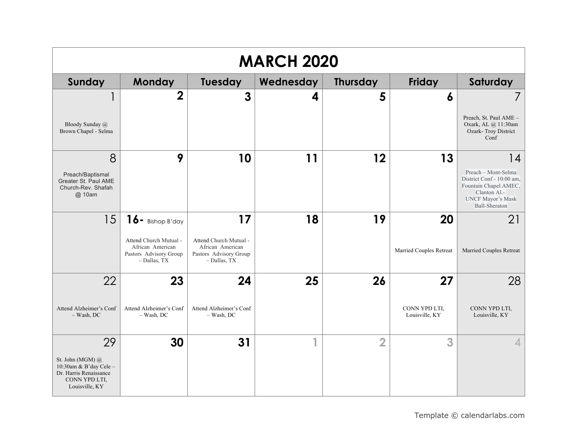| <b>MARCH 2020</b>                                                                                               |                                                                                                             |                                                                                            |           |                 |                                       |                                                                                                                                                     |  |  |
|-----------------------------------------------------------------------------------------------------------------|-------------------------------------------------------------------------------------------------------------|--------------------------------------------------------------------------------------------|-----------|-----------------|---------------------------------------|-----------------------------------------------------------------------------------------------------------------------------------------------------|--|--|
| <b>Sunday</b>                                                                                                   | Monday                                                                                                      | <b>Tuesday</b>                                                                             | Wednesday | <b>Thursday</b> | <b>Friday</b>                         | Saturday                                                                                                                                            |  |  |
| Bloody Sunday @<br>Brown Chapel - Selma                                                                         | $\overline{2}$                                                                                              | $\mathbf{3}$                                                                               | 4         | 5               | 6                                     | Preach, St. Paul AME -<br>Oxark, AL @ 11:30am<br>Ozark-Troy District<br>Conf                                                                        |  |  |
| 8<br>Preach/Baptismal<br>Greater St. Paul AME<br>Church-Rev. Shafah<br>@ 10am                                   | 9                                                                                                           | 10                                                                                         | 11        | 12              | 13                                    | 14<br>Preach - Mont-Selma<br>District Conf - 10:00 am,<br>Fountain Chapel AMEC,<br>Clanton Al.-<br><b>UNCF Mayor's Mask</b><br><b>Ball-Sheraton</b> |  |  |
| 15                                                                                                              | $16$ - Bishop B'day<br>Attend Church Mutual -<br>African American<br>Pastors Advisory Group<br>- Dallas, TX | 17<br>Attend Church Mutual -<br>African American<br>Pastors Advisory Group<br>- Dallas, TX | 18        | 19              | 20<br>Married Couples Retreat         | 21<br>Married Couples Retreat                                                                                                                       |  |  |
| 22<br>Attend Alzheimer's Conf<br>$-$ Wash, DC                                                                   | 23<br>Attend Alzheimer's Conf<br>$-$ Wash, DC                                                               | 24<br>Attend Alzheimer's Conf<br>$-$ Wash, DC                                              | 25        | 26              | 27<br>CONN YPD LTI,<br>Louisville, KY | 28<br>CONN YPD LTI,<br>Louisville, KY                                                                                                               |  |  |
| 29<br>St. John (MGM) @<br>10:30am & B'day Cele $-$<br>Dr. Harris Renaissance<br>CONN YPD LTI,<br>Louisville, KY | 30                                                                                                          | 31                                                                                         | 4         | $\overline{2}$  | 3                                     |                                                                                                                                                     |  |  |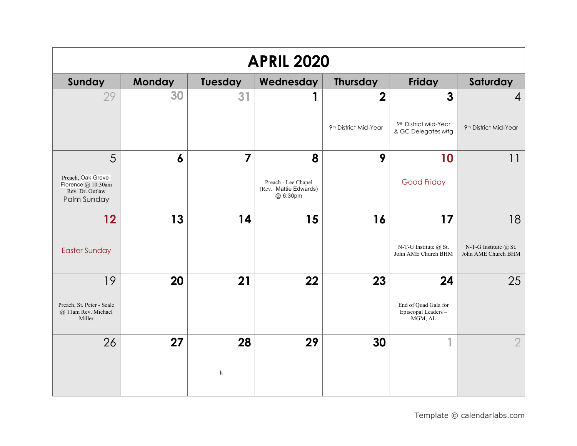| <b>APRIL 2020</b>                                                          |                  |                |                                                          |                         |                                                        |                                                  |  |  |
|----------------------------------------------------------------------------|------------------|----------------|----------------------------------------------------------|-------------------------|--------------------------------------------------------|--------------------------------------------------|--|--|
| Sunday                                                                     | Monday           | Tuesday        | Wednesday                                                | <b>Thursday</b>         | <b>Friday</b>                                          | Saturday                                         |  |  |
| 29                                                                         | 30               | 31             |                                                          | $\overline{\mathbf{2}}$ | $\mathbf{3}$                                           | $\overline{4}$                                   |  |  |
|                                                                            |                  |                |                                                          | 9th District Mid-Year   | 9th District Mid-Year<br>& GC Delegates Mtg            | 9th District Mid-Year                            |  |  |
| 5                                                                          | $\boldsymbol{6}$ | $\overline{7}$ | 8                                                        | 9                       | 10                                                     | 11                                               |  |  |
| Preach, Oak Grove-<br>Florence @ 10:30am<br>Rev. Dr. Outlaw<br>Palm Sunday |                  |                | Preach - Lee Chapel<br>(Rev. Mattie Edwards)<br>@ 6:30pm |                         | <b>Good Friday</b>                                     |                                                  |  |  |
| 12                                                                         | 13               | 14             | 15                                                       | 16                      | 17                                                     | 18                                               |  |  |
| <b>Easter Sunday</b>                                                       |                  |                |                                                          |                         | N-T-G Institute @ St.<br>John AME Church BHM           | N-T-G Institute $(a)$ St.<br>John AME Church BHM |  |  |
| 19                                                                         | 20               | 21             | 22                                                       | 23                      | 24                                                     | 25                                               |  |  |
| Preach, St. Peter - Seale<br>@ 11am Rev. Michael<br>Miller                 |                  |                |                                                          |                         | End of Quad Gala for<br>Episcopal Leaders -<br>MGM, AL |                                                  |  |  |
| 26                                                                         | 27               | 28             | 29                                                       | 30                      | $\overline{\phantom{a}}$                               | $\overline{2}$                                   |  |  |
|                                                                            |                  | h              |                                                          |                         |                                                        |                                                  |  |  |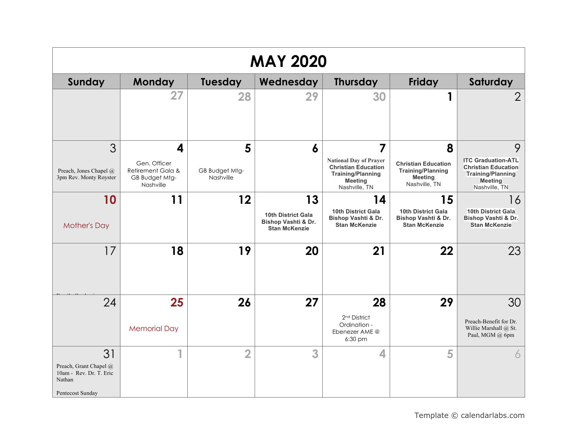| <b>MAY 2020</b>                                                                       |                                                                  |                             |                                                                   |                                                                                                                            |                                                                                           |                                                                                                                        |  |  |
|---------------------------------------------------------------------------------------|------------------------------------------------------------------|-----------------------------|-------------------------------------------------------------------|----------------------------------------------------------------------------------------------------------------------------|-------------------------------------------------------------------------------------------|------------------------------------------------------------------------------------------------------------------------|--|--|
| <b>Sunday</b>                                                                         | Monday                                                           | <b>Tuesday</b>              | Wednesday                                                         | <b>Thursday</b>                                                                                                            | <b>Friday</b>                                                                             | Saturday                                                                                                               |  |  |
|                                                                                       | 27                                                               | 28                          | 29                                                                | 30                                                                                                                         | 1                                                                                         | $\overline{2}$                                                                                                         |  |  |
| 3                                                                                     | 4                                                                | 5                           | 6                                                                 | 7                                                                                                                          | 8                                                                                         | 9                                                                                                                      |  |  |
| Preach, Jones Chapel @<br>3pm Rev. Monty Royster                                      | Gen. Officer<br>Retirement Gala &<br>GB Budget Mtg-<br>Nashville | GB Budget Mtg-<br>Nashville |                                                                   | <b>National Day of Prayer</b><br><b>Christian Education</b><br><b>Training/Planning</b><br><b>Meeting</b><br>Nashville, TN | <b>Christian Education</b><br><b>Training/Planning</b><br><b>Meeting</b><br>Nashville, TN | <b>ITC Graduation-ATL</b><br><b>Christian Education</b><br><b>Training/Planning</b><br><b>Meeting</b><br>Nashville, TN |  |  |
| 10                                                                                    | 11                                                               | $12 \overline{ }$           | 13                                                                | 14                                                                                                                         | 15                                                                                        | 16                                                                                                                     |  |  |
| <b>Mother's Day</b>                                                                   |                                                                  |                             | 10th District Gala<br>Bishop Vashti & Dr.<br><b>Stan McKenzie</b> | <b>10th District Gala</b><br>Bishop Vashti & Dr.<br><b>Stan McKenzie</b>                                                   | <b>10th District Gala</b><br>Bishop Vashti & Dr.<br><b>Stan McKenzie</b>                  | 10th District Gala<br>Bishop Vashti & Dr.<br><b>Stan McKenzie</b>                                                      |  |  |
| 17                                                                                    | 18                                                               | 19                          | 20                                                                | 21                                                                                                                         | 22                                                                                        | 23                                                                                                                     |  |  |
| 24                                                                                    | 25                                                               | 26                          | 27                                                                | 28                                                                                                                         | 29                                                                                        | 30                                                                                                                     |  |  |
|                                                                                       | <b>Memorial Day</b>                                              |                             |                                                                   | 2 <sup>nd</sup> District<br>Ordination -<br>Ebenezer AME @<br>6:30 pm                                                      |                                                                                           | Preach-Benefit for Dr.<br>Willie Marshall @ St.<br>Paul, MGM @ 6pm                                                     |  |  |
| 31<br>Preach, Grant Chapel @<br>10am - Rev. Dr. T. Eric<br>Nathan<br>Pentecost Sunday | 4                                                                | $\overline{\mathbf{2}}$     | 3                                                                 | 4                                                                                                                          | 5                                                                                         | 6                                                                                                                      |  |  |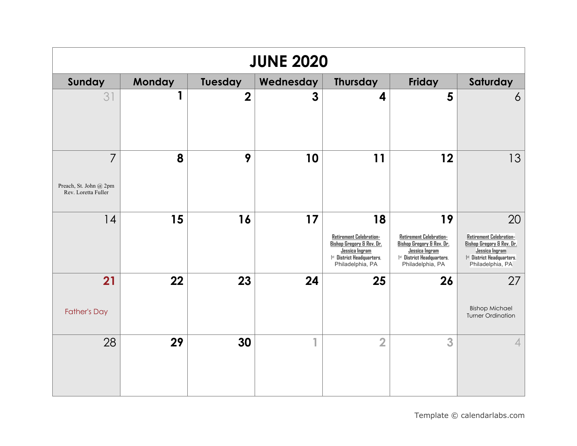| <b>JUNE 2020</b>                                                |        |                |           |                                                                                                                                           |                                                                                                                                           |                                                                                                                                                  |  |  |
|-----------------------------------------------------------------|--------|----------------|-----------|-------------------------------------------------------------------------------------------------------------------------------------------|-------------------------------------------------------------------------------------------------------------------------------------------|--------------------------------------------------------------------------------------------------------------------------------------------------|--|--|
| Sunday                                                          | Monday | Tuesday        | Wednesday | <b>Thursday</b>                                                                                                                           | <b>Friday</b>                                                                                                                             | Saturday                                                                                                                                         |  |  |
| 31                                                              | 1      | $\overline{2}$ | 3         | 4                                                                                                                                         | 5                                                                                                                                         | 6                                                                                                                                                |  |  |
| $\overline{7}$<br>Preach, St. John @ 2pm<br>Rev. Loretta Fuller | 8      | 9              | 10        | 11                                                                                                                                        | 12                                                                                                                                        | 13                                                                                                                                               |  |  |
| 14                                                              | 15     | 16             | 17        | 18<br>Retirement Celebration-<br><b>Bishop Gregory &amp; Rev. Dr.</b><br>Jessica Ingram<br>1st District Headquarters,<br>Philadelphia, PA | 19<br>Retirement Celebration-<br><b>Bishop Gregory &amp; Rev. Dr.</b><br>Jessica Ingram<br>1st District Headquarters,<br>Philadelphia, PA | 20<br><b>Retirement Celebration-</b><br>Bishop Gregory & Rev. Dr.<br>Jessica Ingram<br><sup>1st</sup> District Headquarters,<br>Philadelphia, PA |  |  |
| 21<br><b>Father's Day</b>                                       | 22     | 23             | 24        | 25                                                                                                                                        | 26                                                                                                                                        | 27<br><b>Bishop Michael</b><br><b>Turner Ordination</b>                                                                                          |  |  |
| 28                                                              | 29     | 30             | 4         | $\overline{2}$                                                                                                                            | 3                                                                                                                                         | $\overline{4}$                                                                                                                                   |  |  |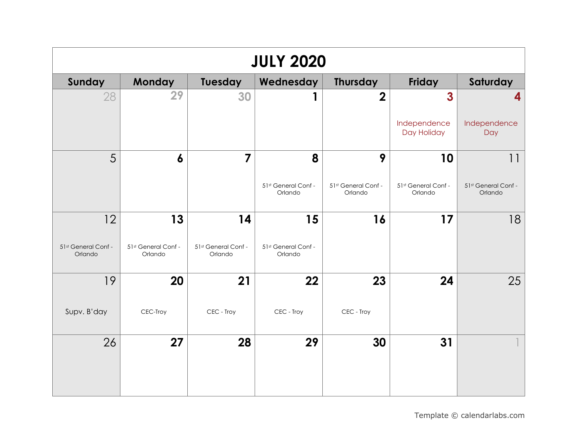| <b>JULY 2020</b>               |                                |                                |                                |                                |                                |                                |  |  |
|--------------------------------|--------------------------------|--------------------------------|--------------------------------|--------------------------------|--------------------------------|--------------------------------|--|--|
| Sunday                         | Monday                         | Tuesday                        | Wednesday                      | <b>Thursday</b>                | Friday                         | Saturday                       |  |  |
| 28                             | 29                             | 30                             |                                | $\overline{\mathbf{2}}$        | $\overline{\mathbf{3}}$        | 4                              |  |  |
|                                |                                |                                |                                |                                | Independence<br>Day Holiday    | Independence<br>Day            |  |  |
| 5                              | $\boldsymbol{6}$               | $\overline{7}$                 | 8                              | 9                              | 10                             | 11                             |  |  |
|                                |                                |                                | 51st General Conf -<br>Orlando | 51st General Conf -<br>Orlando | 51st General Conf -<br>Orlando | 51st General Conf -<br>Orlando |  |  |
| 12                             | 13                             | 14                             | 15                             | 16                             | 17                             | 18                             |  |  |
| 51st General Conf -<br>Orlando | 51st General Conf -<br>Orlando | 51st General Conf -<br>Orlando | 51st General Conf -<br>Orlando |                                |                                |                                |  |  |
| 19                             | 20                             | 21                             | 22                             | 23                             | 24                             | 25                             |  |  |
| Supv. B'day                    | CEC-Troy                       | CEC - Troy                     | CEC - Troy                     | CEC - Troy                     |                                |                                |  |  |
| 26                             | 27                             | 28                             | 29                             | 30                             | 31                             |                                |  |  |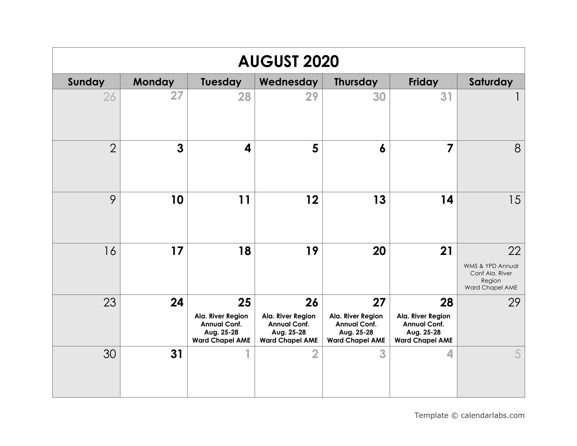| <b>AUGUST 2020</b> |              |                                                                                        |                                                                                        |                                                                                        |                                                                                        |                                                                        |  |  |
|--------------------|--------------|----------------------------------------------------------------------------------------|----------------------------------------------------------------------------------------|----------------------------------------------------------------------------------------|----------------------------------------------------------------------------------------|------------------------------------------------------------------------|--|--|
| Sunday             | Monday       | <b>Tuesday</b>                                                                         | Wednesday                                                                              | <b>Thursday</b>                                                                        | Friday                                                                                 | Saturday                                                               |  |  |
| 26                 | 27           | 28                                                                                     | 29                                                                                     | 30                                                                                     | 31                                                                                     |                                                                        |  |  |
| $\overline{2}$     | $\mathbf{3}$ | 4                                                                                      | 5                                                                                      | 6                                                                                      | 7                                                                                      | 8                                                                      |  |  |
| 9                  | 10           | 11                                                                                     | 12                                                                                     | 13                                                                                     | 14                                                                                     | 15                                                                     |  |  |
| 16                 | 17           | 18                                                                                     | 19                                                                                     | 20                                                                                     | 21                                                                                     | 22<br>WMS & YPD Annual<br>Conf Ala. River<br>Region<br>Ward Chapel AME |  |  |
| 23                 | 24           | 25<br>Ala. River Region<br><b>Annual Conf.</b><br>Aug. 25-28<br><b>Ward Chapel AME</b> | 26<br>Ala. River Region<br><b>Annual Conf.</b><br>Aug. 25-28<br><b>Ward Chapel AME</b> | 27<br>Ala. River Region<br><b>Annual Conf.</b><br>Aug. 25-28<br><b>Ward Chapel AME</b> | 28<br>Ala. River Region<br><b>Annual Conf.</b><br>Aug. 25-28<br><b>Ward Chapel AME</b> | 29                                                                     |  |  |
| 30                 | 31           |                                                                                        | $\overline{2}$                                                                         | 3                                                                                      | 4                                                                                      | 5                                                                      |  |  |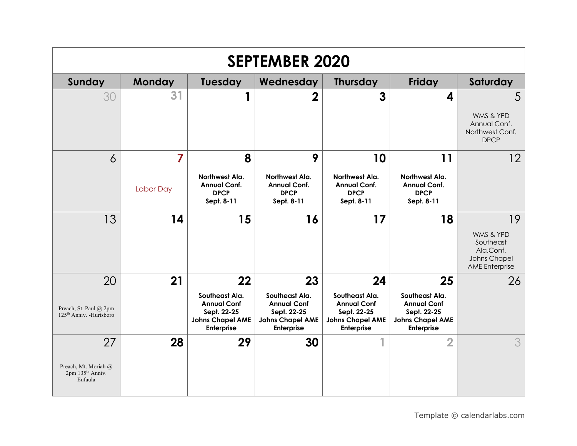| <b>SEPTEMBER 2020</b>                                                 |           |                                                                                              |                                                                                              |                                                                                                     |                                                                                                     |                                                                                           |  |  |
|-----------------------------------------------------------------------|-----------|----------------------------------------------------------------------------------------------|----------------------------------------------------------------------------------------------|-----------------------------------------------------------------------------------------------------|-----------------------------------------------------------------------------------------------------|-------------------------------------------------------------------------------------------|--|--|
| Sunday                                                                | Monday    | Tuesday                                                                                      | Wednesday                                                                                    | <b>Thursday</b>                                                                                     | Friday                                                                                              | Saturday                                                                                  |  |  |
| 30                                                                    | 31        | 1                                                                                            | $\overline{2}$                                                                               | 3                                                                                                   | 4                                                                                                   | 5<br>WMS & YPD<br>Annual Conf.<br>Northwest Conf.<br><b>DPCP</b>                          |  |  |
| 6                                                                     | 7         | 8                                                                                            | 9                                                                                            | 10                                                                                                  | 11                                                                                                  | 12                                                                                        |  |  |
|                                                                       | Labor Day | Northwest Ala.<br><b>Annual Conf.</b><br><b>DPCP</b><br>Sept. 8-11                           | Northwest Ala.<br><b>Annual Conf.</b><br><b>DPCP</b><br>Sept. 8-11                           | Northwest Ala.<br><b>Annual Conf.</b><br><b>DPCP</b><br>Sept. 8-11                                  | Northwest Ala.<br><b>Annual Conf.</b><br><b>DPCP</b><br>Sept. 8-11                                  |                                                                                           |  |  |
| 13                                                                    | 14        | 15                                                                                           | 16                                                                                           | 17                                                                                                  | 18                                                                                                  | 19<br>WMS & YPD<br>Southeast<br>Ala.Conf.<br><b>Johns Chapel</b><br><b>AME</b> Enterprise |  |  |
| 20                                                                    | 21        | 22                                                                                           | 23                                                                                           | 24                                                                                                  | 25                                                                                                  | 26                                                                                        |  |  |
| Preach, St. Paul @ 2pm<br>$125th$ Anniv. -Hurtsboro                   |           | Southeast Ala.<br><b>Annual Conf</b><br>Sept. 22-25<br><b>Johns Chapel AME</b><br>Enterprise | Southeast Ala.<br><b>Annual Conf</b><br>Sept. 22-25<br><b>Johns Chapel AME</b><br>Enterprise | Southeast Ala.<br><b>Annual Conf</b><br>Sept. 22-25<br><b>Johns Chapel AME</b><br><b>Enterprise</b> | Southeast Ala.<br><b>Annual Conf</b><br>Sept. 22-25<br><b>Johns Chapel AME</b><br><b>Enterprise</b> |                                                                                           |  |  |
| 27<br>Preach, Mt. Moriah @<br>2pm 135 <sup>th</sup> Anniv.<br>Eufaula | 28        | 29                                                                                           | 30                                                                                           | 1                                                                                                   | $\overline{2}$                                                                                      | 3                                                                                         |  |  |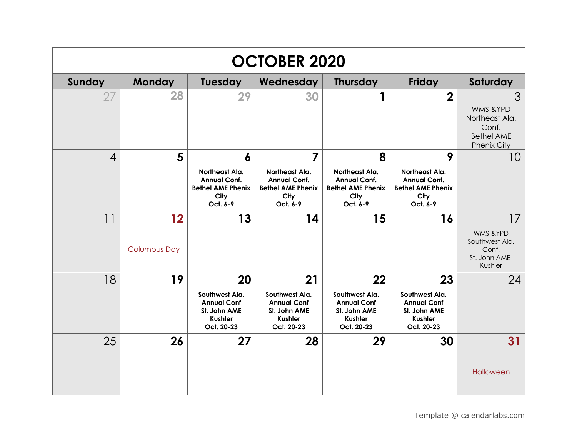| <b>OCTOBER 2020</b> |                           |                                                                                            |                                                                                                         |                                                                                            |                                                                                            |                                                                                      |  |  |
|---------------------|---------------------------|--------------------------------------------------------------------------------------------|---------------------------------------------------------------------------------------------------------|--------------------------------------------------------------------------------------------|--------------------------------------------------------------------------------------------|--------------------------------------------------------------------------------------|--|--|
| Sunday              | Monday                    | Tuesday                                                                                    | Wednesday                                                                                               | <b>Thursday</b>                                                                            | Friday                                                                                     | Saturday                                                                             |  |  |
| 27                  | 28                        | 29                                                                                         | 30                                                                                                      | 1                                                                                          | $\overline{2}$                                                                             | 3<br>WMS & YPD<br>Northeast Ala.<br>Conf.<br><b>Bethel AME</b><br><b>Phenix City</b> |  |  |
| 4                   | 5                         | 6<br>Northeast Ala.<br><b>Annual Conf.</b><br><b>Bethel AME Phenix</b><br>City<br>Oct. 6-9 | $\overline{7}$<br>Northeast Ala.<br><b>Annual Conf.</b><br><b>Bethel AME Phenix</b><br>City<br>Oct. 6-9 | 8<br>Northeast Ala.<br><b>Annual Conf.</b><br><b>Bethel AME Phenix</b><br>City<br>Oct. 6-9 | 9<br>Northeast Ala.<br><b>Annual Conf.</b><br><b>Bethel AME Phenix</b><br>City<br>Oct. 6-9 | 10                                                                                   |  |  |
| 11                  | 12<br><b>Columbus Day</b> | 13                                                                                         | 14                                                                                                      | 15                                                                                         | 16                                                                                         | 17<br>WMS & YPD<br>Southwest Ala.<br>Conf.<br>St. John AME-<br>Kushler               |  |  |
| 18                  | 19                        | 20<br>Southwest Ala.<br><b>Annual Conf</b><br>St. John AME<br><b>Kushler</b><br>Oct. 20-23 | 21<br>Southwest Ala.<br><b>Annual Conf</b><br>St. John AME<br><b>Kushler</b><br>Oct. 20-23              | 22<br>Southwest Ala.<br><b>Annual Conf</b><br>St. John AME<br><b>Kushler</b><br>Oct. 20-23 | 23<br>Southwest Ala.<br><b>Annual Conf</b><br>St. John AME<br><b>Kushler</b><br>Oct. 20-23 | 24                                                                                   |  |  |
| 25                  | 26                        | 27                                                                                         | 28                                                                                                      | 29                                                                                         | 30                                                                                         | 31<br>Halloween                                                                      |  |  |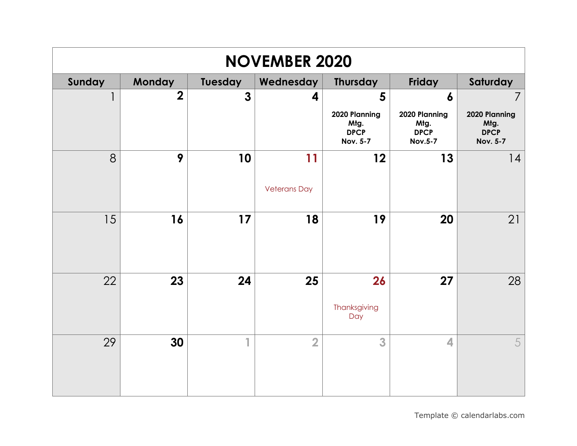| <b>NOVEMBER 2020</b> |                |                |                     |                                                         |                                                        |                                                         |  |  |
|----------------------|----------------|----------------|---------------------|---------------------------------------------------------|--------------------------------------------------------|---------------------------------------------------------|--|--|
| Sunday               | Monday         | Tuesday        | Wednesday           | <b>Thursday</b>                                         | Friday                                                 | Saturday                                                |  |  |
| 1                    | $\overline{2}$ | $\overline{3}$ | 4                   | 5                                                       | $\boldsymbol{6}$                                       | $\overline{7}$                                          |  |  |
|                      |                |                |                     | 2020 Planning<br>Mtg.<br><b>DPCP</b><br><b>Nov. 5-7</b> | 2020 Planning<br>Mtg.<br><b>DPCP</b><br><b>Nov.5-7</b> | 2020 Planning<br>Mtg.<br><b>DPCP</b><br><b>Nov. 5-7</b> |  |  |
| 8                    | 9              | 10             | 11                  | 12                                                      | 13                                                     | 14                                                      |  |  |
|                      |                |                | <b>Veterans Day</b> |                                                         |                                                        |                                                         |  |  |
| 15                   | 16             | 17             | 18                  | 19                                                      | 20                                                     | 21                                                      |  |  |
|                      |                |                |                     |                                                         |                                                        |                                                         |  |  |
| 22                   | 23             | 24             | 25                  | 26                                                      | 27                                                     | 28                                                      |  |  |
|                      |                |                |                     | Thanksgiving<br>Day                                     |                                                        |                                                         |  |  |
| 29                   | 30             | 1              | $\overline{2}$      | 3                                                       | 4                                                      | 5                                                       |  |  |